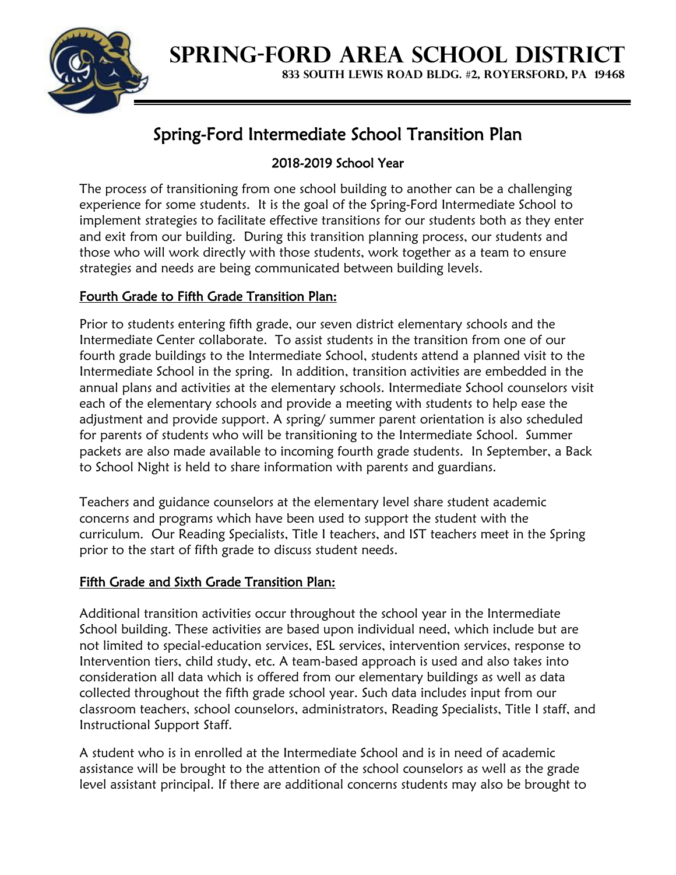

**SPRING-FORD AREA SCHOOL DISTRICT**

**833 SOUTH LEWIS ROAD BLDG. #2, ROYERSFORD, PA 19468**

# Spring-Ford Intermediate School Transition Plan

## 2018-2019 School Year

The process of transitioning from one school building to another can be a challenging experience for some students. It is the goal of the Spring-Ford Intermediate School to implement strategies to facilitate effective transitions for our students both as they enter and exit from our building. During this transition planning process, our students and those who will work directly with those students, work together as a team to ensure strategies and needs are being communicated between building levels.

### Fourth Grade to Fifth Grade Transition Plan:

Prior to students entering fifth grade, our seven district elementary schools and the Intermediate Center collaborate. To assist students in the transition from one of our fourth grade buildings to the Intermediate School, students attend a planned visit to the Intermediate School in the spring. In addition, transition activities are embedded in the annual plans and activities at the elementary schools. Intermediate School counselors visit each of the elementary schools and provide a meeting with students to help ease the adjustment and provide support. A spring/ summer parent orientation is also scheduled for parents of students who will be transitioning to the Intermediate School. Summer packets are also made available to incoming fourth grade students. In September, a Back to School Night is held to share information with parents and guardians.

Teachers and guidance counselors at the elementary level share student academic concerns and programs which have been used to support the student with the curriculum. Our Reading Specialists, Title I teachers, and IST teachers meet in the Spring prior to the start of fifth grade to discuss student needs.

#### Fifth Grade and Sixth Grade Transition Plan:

Additional transition activities occur throughout the school year in the Intermediate School building. These activities are based upon individual need, which include but are not limited to special-education services, ESL services, intervention services, response to Intervention tiers, child study, etc. A team-based approach is used and also takes into consideration all data which is offered from our elementary buildings as well as data collected throughout the fifth grade school year. Such data includes input from our classroom teachers, school counselors, administrators, Reading Specialists, Title I staff, and Instructional Support Staff.

A student who is in enrolled at the Intermediate School and is in need of academic assistance will be brought to the attention of the school counselors as well as the grade level assistant principal. If there are additional concerns students may also be brought to